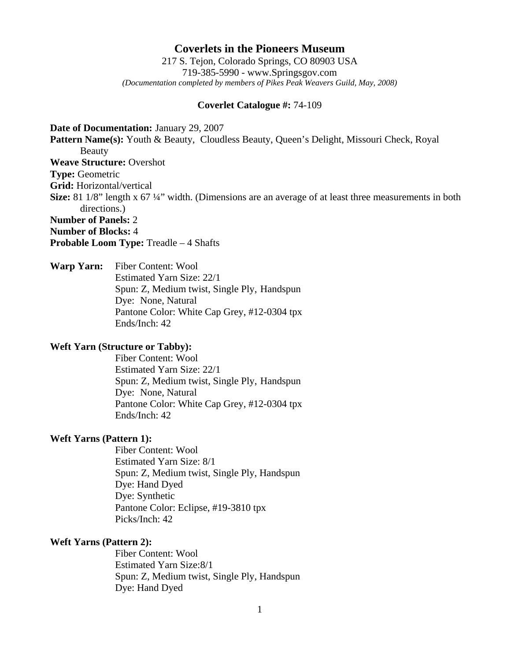# **Coverlets in the Pioneers Museum**

217 S. Tejon, Colorado Springs, CO 80903 USA 719-385-5990 - www.Springsgov.com *(Documentation completed by members of Pikes Peak Weavers Guild, May, 2008)* 

## **Coverlet Catalogue #:** 74-109

**Date of Documentation:** January 29, 2007 **Pattern Name(s):** Youth & Beauty, Cloudless Beauty, Queen's Delight, Missouri Check, Royal Beauty **Weave Structure:** Overshot **Type:** Geometric **Grid:** Horizontal/vertical **Size:** 81 1/8" length x 67 ¼" width. (Dimensions are an average of at least three measurements in both directions.) **Number of Panels:** 2 **Number of Blocks:** 4 **Probable Loom Type:** Treadle – 4 Shafts

**Warp Yarn:** Fiber Content: Wool Estimated Yarn Size: 22/1 Spun: Z, Medium twist, Single Ply, Handspun Dye: None, Natural Pantone Color: White Cap Grey, #12-0304 tpx Ends/Inch: 42

## **Weft Yarn (Structure or Tabby):**

 Fiber Content: Wool Estimated Yarn Size: 22/1 Spun: Z, Medium twist, Single Ply, Handspun Dye: None, Natural Pantone Color: White Cap Grey, #12-0304 tpx Ends/Inch: 42

## **Weft Yarns (Pattern 1):**

 Fiber Content: Wool Estimated Yarn Size: 8/1 Spun: Z, Medium twist, Single Ply, Handspun Dye: Hand Dyed Dye: Synthetic Pantone Color: Eclipse, #19-3810 tpx Picks/Inch: 42

# **Weft Yarns (Pattern 2):**

 Fiber Content: Wool Estimated Yarn Size: 8/1 Spun: Z, Medium twist, Single Ply, Handspun Dye: Hand Dyed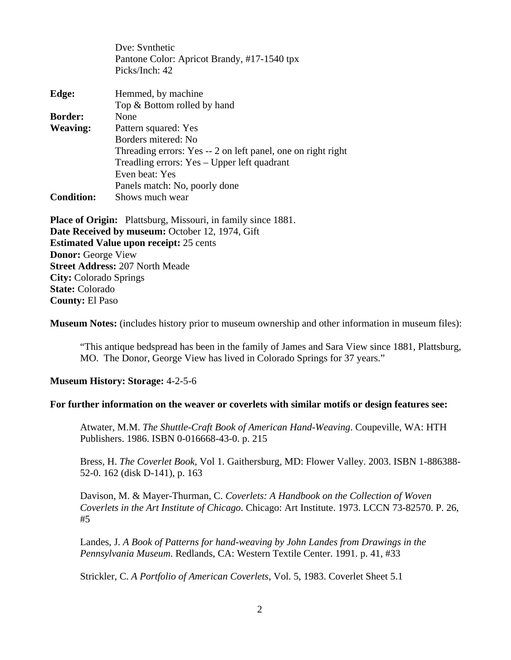|                   | Dve: Synthetic                                                      |
|-------------------|---------------------------------------------------------------------|
|                   | Pantone Color: Apricot Brandy, #17-1540 tpx                         |
|                   | Picks/Inch: 42                                                      |
| Edge:             | Hemmed, by machine                                                  |
|                   | Top & Bottom rolled by hand                                         |
| <b>Border:</b>    | None                                                                |
| <b>Weaving:</b>   | Pattern squared: Yes                                                |
|                   | Borders mitered: No                                                 |
|                   | Threading errors: Yes -- 2 on left panel, one on right right        |
|                   | Treadling errors: Yes – Upper left quadrant                         |
|                   | Even beat: Yes                                                      |
|                   | Panels match: No, poorly done                                       |
| <b>Condition:</b> | Shows much wear                                                     |
|                   | <b>Place of Origin:</b> Plattsburg, Missouri, in family since 1881. |

**Date Received by museum:** October 12, 1974, Gift **Estimated Value upon receipt:** 25 cents **Donor:** George View **Street Address:** 207 North Meade **City:** Colorado Springs **State:** Colorado **County:** El Paso

**Museum Notes:** (includes history prior to museum ownership and other information in museum files):

 "This antique bedspread has been in the family of James and Sara View since 1881, Plattsburg, MO. The Donor, George View has lived in Colorado Springs for 37 years."

#### **Museum History: Storage:** 4-2-5-6

#### **For further information on the weaver or coverlets with similar motifs or design features see:**

Atwater, M.M. *The Shuttle-Craft Book of American Hand-Weaving*. Coupeville, WA: HTH Publishers. 1986. ISBN 0-016668-43-0. p. 215

 Bress, H. *The Coverlet Book*, Vol 1. Gaithersburg, MD: Flower Valley. 2003. ISBN 1-886388- 52-0. 162 (disk D-141), p. 163

 Davison, M. & Mayer-Thurman, C. *Coverlets: A Handbook on the Collection of Woven Coverlets in the Art Institute of Chicago*. Chicago: Art Institute. 1973. LCCN 73-82570. P. 26, #5

 Landes, J. *A Book of Patterns for hand-weaving by John Landes from Drawings in the Pennsylvania Museum*. Redlands, CA: Western Textile Center. 1991. p. 41, #33

Strickler, C. *A Portfolio of American Coverlets*, Vol. 5, 1983. Coverlet Sheet 5.1